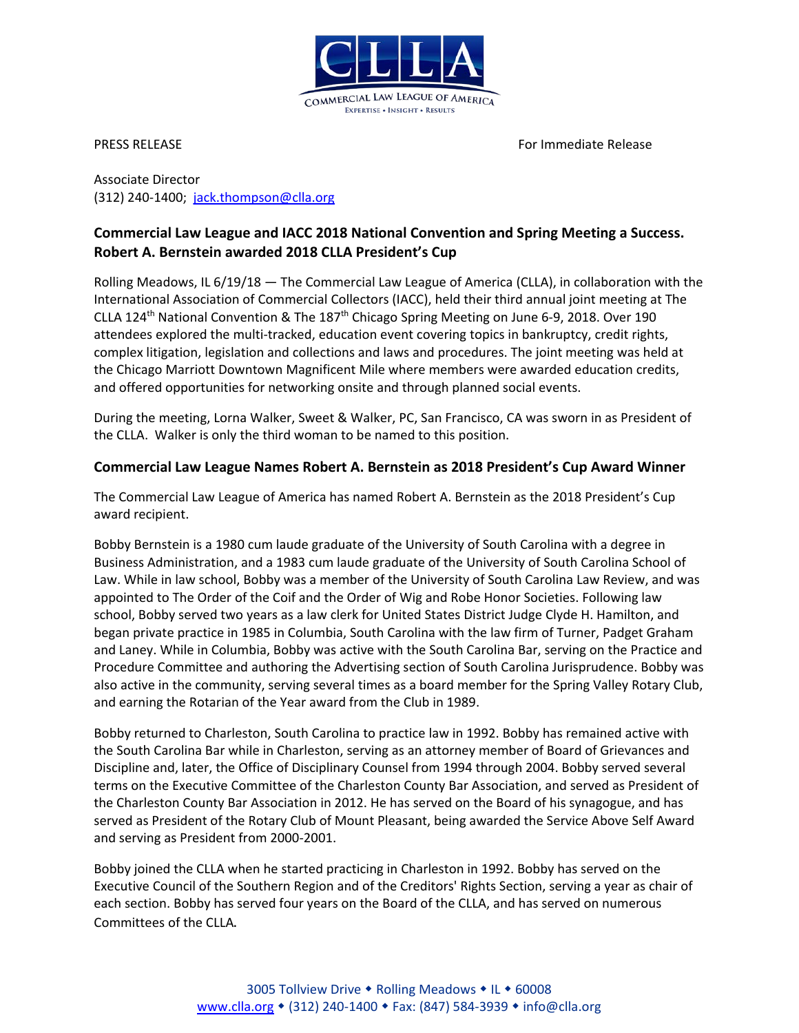

PRESS RELEASE For Immediate Release For Immediate Release

Associate Director (312) 240-1400; [jack.thompson@clla.org](mailto:jack.thompson@clla.org)

## **Commercial Law League and IACC 2018 National Convention and Spring Meeting a Success. Robert A. Bernstein awarded 2018 CLLA President's Cup**

Rolling Meadows, IL 6/19/18 — The Commercial Law League of America (CLLA), in collaboration with the International Association of Commercial Collectors (IACC), held their third annual joint meeting at The CLLA 124<sup>th</sup> National Convention & The 187<sup>th</sup> Chicago Spring Meeting on June 6-9, 2018. Over 190 attendees explored the multi-tracked, education event covering topics in bankruptcy, credit rights, complex litigation, legislation and collections and laws and procedures. The joint meeting was held at the Chicago Marriott Downtown Magnificent Mile where members were awarded education credits, and offered opportunities for networking onsite and through planned social events.

During the meeting, Lorna Walker, Sweet & Walker, PC, San Francisco, CA was sworn in as President of the CLLA. Walker is only the third woman to be named to this position.

## **Commercial Law League Names Robert A. Bernstein as 2018 President's Cup Award Winner**

The Commercial Law League of America has named Robert A. Bernstein as the 2018 President's Cup award recipient.

Bobby Bernstein is a 1980 cum laude graduate of the University of South Carolina with a degree in Business Administration, and a 1983 cum laude graduate of the University of South Carolina School of Law. While in law school, Bobby was a member of the University of South Carolina Law Review, and was appointed to The Order of the Coif and the Order of Wig and Robe Honor Societies. Following law school, Bobby served two years as a law clerk for United States District Judge Clyde H. Hamilton, and began private practice in 1985 in Columbia, South Carolina with the law firm of Turner, Padget Graham and Laney. While in Columbia, Bobby was active with the South Carolina Bar, serving on the Practice and Procedure Committee and authoring the Advertising section of South Carolina Jurisprudence. Bobby was also active in the community, serving several times as a board member for the Spring Valley Rotary Club, and earning the Rotarian of the Year award from the Club in 1989.

Bobby returned to Charleston, South Carolina to practice law in 1992. Bobby has remained active with the South Carolina Bar while in Charleston, serving as an attorney member of Board of Grievances and Discipline and, later, the Office of Disciplinary Counsel from 1994 through 2004. Bobby served several terms on the Executive Committee of the Charleston County Bar Association, and served as President of the Charleston County Bar Association in 2012. He has served on the Board of his synagogue, and has served as President of the Rotary Club of Mount Pleasant, being awarded the Service Above Self Award and serving as President from 2000-2001.

Bobby joined the CLLA when he started practicing in Charleston in 1992. Bobby has served on the Executive Council of the Southern Region and of the Creditors' Rights Section, serving a year as chair of each section. Bobby has served four years on the Board of the CLLA, and has served on numerous Committees of the CLLA.